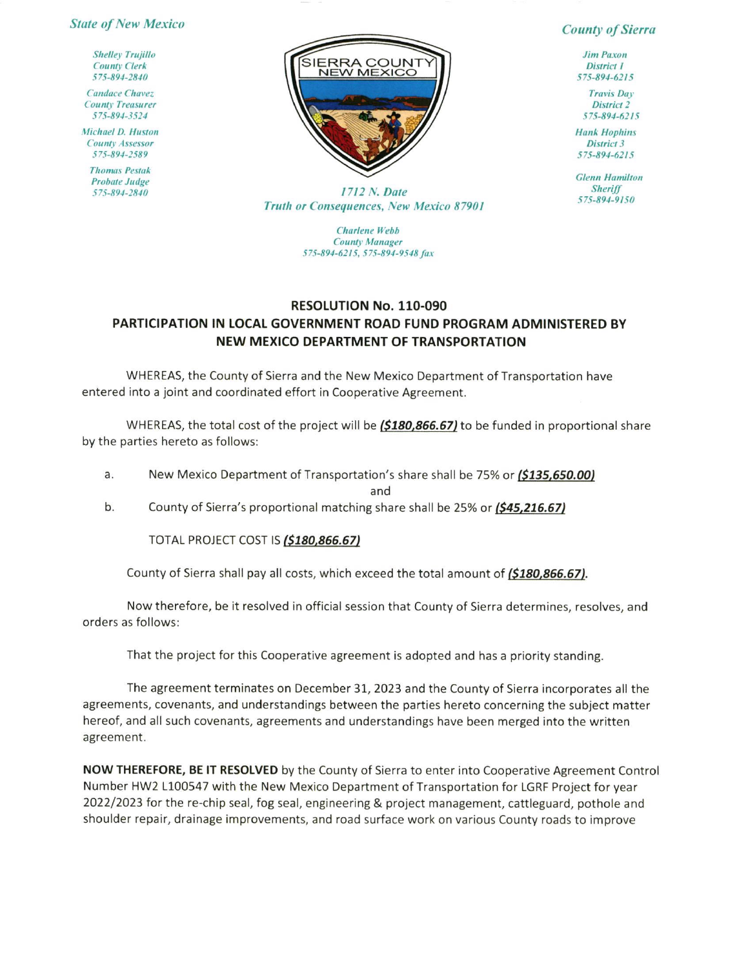## **State of New Mexico**

**Shelley Trujillo County Clerk** 575-894-2840

**Candace Chavez County Treasurer** 575-894-3524

Michael D. Huston County Assessor 575-894-2589

**Thomas Pestak Probate Judge** 575-894-2840



## **County of Sierra**

**Jim Paxon** District 1 575-894-6215

**Travis Day** District<sub>2</sub> 575-894-6215

**Hank Hophins District 3** 575-894-6215

**Glenn Hamilton Sheriff** 575-894-9150

1712 N. Date **Truth or Consequences, New Mexico 87901** 

> **Charlene** Webb **County Manager** 575-894-6215, 575-894-9548 fax

## RESOLUTION No. 110-090 PARTICIPATION IN LOCAL GOVERNMENT ROAD FUND PROGRAM ADMINISTERED BY NEW MEXICO DEPARTMENT OF TRANSPORTATION

WHEREAS, the County of Sierra and the New Mexico Department of Transportation have entered into a joint and coordinated effort in Cooperative Agreement.

WHEREAS, the total cost of the project will be (\$180,866.67) to be funded in proportional share by the parties hereto as follows:

New Mexico Department of Transportation's share shall be 75% or (\$135,650.00) a.

and

 $b.$ County of Sierra's proportional matching share shall be 25% or (\$45,216.67)

TOTAL PROJECT COST IS (\$180,866.67)

County of Sierra shall pay all costs, which exceed the total amount of (\$180,866.67).

Now therefore, be it resolved in official session that County of Sierra determines, resolves, and orders as follows:

That the project for this Cooperative agreement is adopted and has a priority standing.

The agreement terminates on December 31, 2023 and the County of Sierra incorporates all the agreements, covenants, and understandings between the parties hereto concerning the subject matter hereof, and all such covenants, agreements and understandings have been merged into the written agreement.

NOW THEREFORE, BE IT RESOLVED by the County of Sierra to enter into Cooperative Agreement Control Number HW2 L100547 with the New Mexico Department of Transportation for LGRF Project for year 2022/2023 for the re-chip seal, fog seal, engineering & project management, cattleguard, pothole and shoulder repair, drainage improvements, and road surface work on various County roads to improve